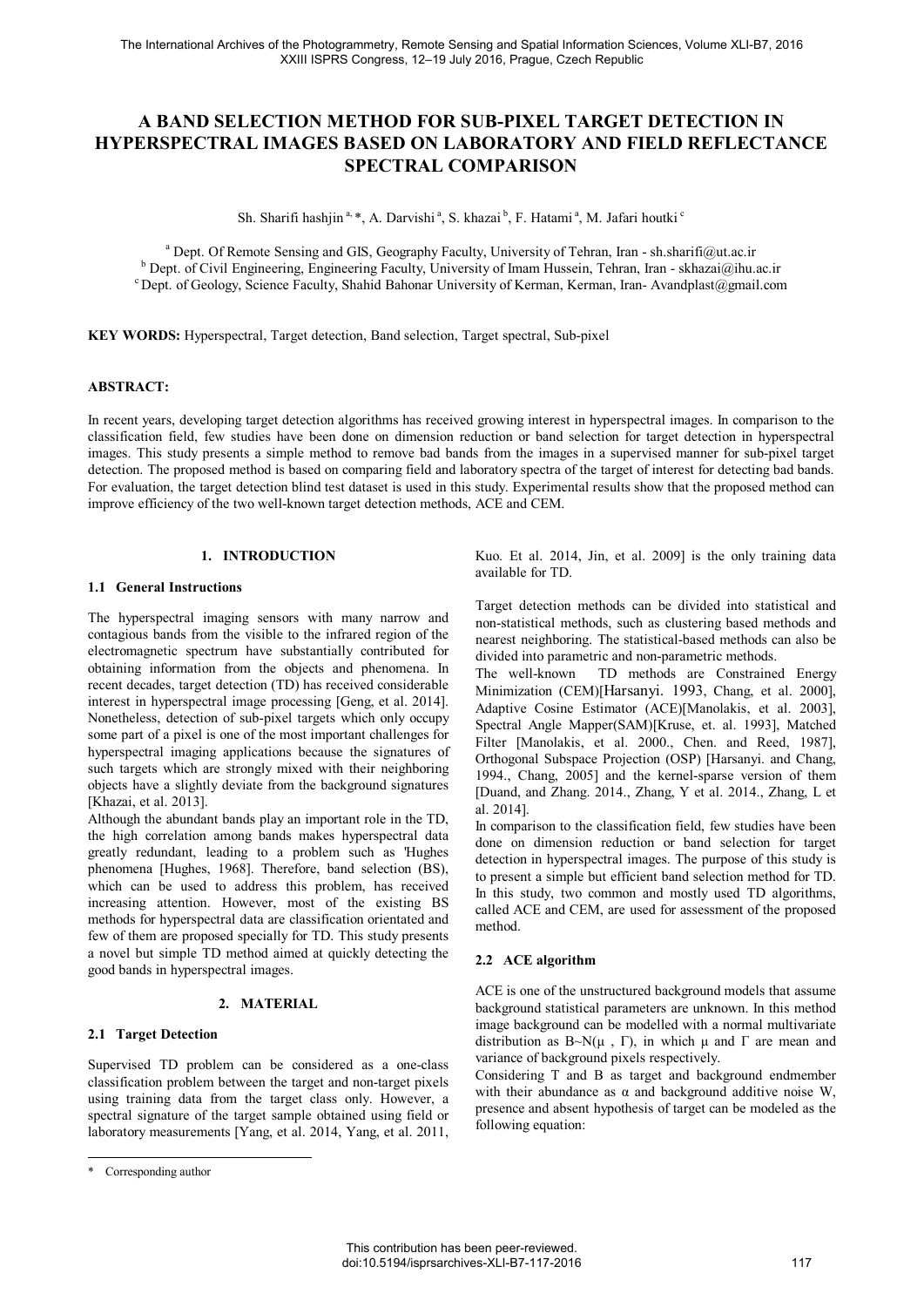# **A BAND SELECTION METHOD FOR SUB-PIXEL TARGET DETECTION IN HYPERSPECTRAL IMAGES BASED ON LABORATORY AND FIELD REFLECTANCE SPECTRAL COMPARISON**

Sh. Sharifi hashiin  $a^*$ , A. Darvishi  $a$ , S. khazai  $b$ , F. Hatami  $a$ , M. Jafari houtki  $c$ 

<sup>a</sup> Dept. Of Remote Sensing and GIS, Geography Faculty, University of Tehran, Iran - sh.sharifi@ut.ac.ir b Dept. of Civil Engineering Engineering Faculty, University of Imam Hussein, Tehran, Iran, skhazai@ibu <sup>b</sup> Dept. of Civil Engineering, Engineering Faculty, University of Imam Hussein, Tehran, Iran - skhazai@ihu.ac.ir c Dept. of Geology, Science Faculty, Shahid Bahonar University of Kerman, Kerman, Iran- Avandplast@gmail.co

**KEY WORDS:** Hyperspectral, Target detection, Band selection, Target spectral, Sub-pixel

### **ABSTRACT:**

In recent years, developing target detection algorithms has received growing interest in hyperspectral images. In comparison to the classification field, few studies have been done on dimension reduction or band selection for target detection in hyperspectral images. This study presents a simple method to remove bad bands from the images in a supervised manner for sub-pixel target detection. The proposed method is based on comparing field and laboratory spectra of the target of interest for detecting bad bands. For evaluation, the target detection blind test dataset is used in this study. Experimental results show that the proposed method can improve efficiency of the two well-known target detection methods, ACE and CEM.

# **1. INTRODUCTION**

### **1.1 General Instructions**

The hyperspectral imaging sensors with many narrow and contagious bands from the visible to the infrared region of the electromagnetic spectrum have substantially contributed for obtaining information from the objects and phenomena. In recent decades, target detection (TD) has received considerable interest in hyperspectral image processing [Geng, et al. 2014]. Nonetheless, detection of sub-pixel targets which only occupy some part of a pixel is one of the most important challenges for hyperspectral imaging applications because the signatures of such targets which are strongly mixed with their neighboring objects have a slightly deviate from the background signatures [Khazai, et al. 2013].

Although the abundant bands play an important role in the TD, the high correlation among bands makes hyperspectral data greatly redundant, leading to a problem such as 'Hughes phenomena [Hughes, 1968]. Therefore, band selection (BS), which can be used to address this problem, has received increasing attention. However, most of the existing BS methods for hyperspectral data are classification orientated and few of them are proposed specially for TD. This study presents a novel but simple TD method aimed at quickly detecting the good bands in hyperspectral images.

#### **2. MATERIAL**

# **2.1 Target Detection**

Supervised TD problem can be considered as a one-class classification problem between the target and non-target pixels using training data from the target class only. However, a spectral signature of the target sample obtained using field or laboratory measurements [Yang, et al. 2014, Yang, et al. 2011,

j

Kuo. Et al. 2014, Jin, et al. 2009] is the only training data available for TD.

Target detection methods can be divided into statistical and non-statistical methods, such as clustering based methods and nearest neighboring. The statistical-based methods can also be divided into parametric and non-parametric methods.<br>The well-known TD methods are Constraine

TD methods are Constrained Energy Minimization (CEM)[Harsanyi. 1993, Chang, et al. 2000], Adaptive Cosine Estimator (ACE)[Manolakis, et al. 2003], Spectral Angle Mapper(SAM)[Kruse, et. al. 1993], Matched Filter [Manolakis, et al. 2000., Chen. and Reed, 1987], Orthogonal Subspace Projection (OSP) [Harsanyi. and Chang, 1994., Chang, 2005] and the kernel-sparse version of them [Duand, and Zhang. 2014., Zhang, Y et al. 2014., Zhang, L et al. 2014].

In comparison to the classification field, few studies have been done on dimension reduction or band selection for target detection in hyperspectral images. The purpose of this study is to present a simple but efficient band selection method for TD. In this study, two common and mostly used TD algorithms, called ACE and CEM, are used for assessment of the proposed method.

# **2.2 ACE algorithm**

ACE is one of the unstructured background models that assume background statistical parameters are unknown. In this method image background can be modelled with a normal multivariate distribution as  $B \sim N(\mu, \Gamma)$ , in which  $\mu$  and  $\Gamma$  are mean and variance of background pixels respectively.

Considering T and B as target and background endmember with their abundance as  $\alpha$  and background additive noise W, presence and absent hypothesis of target can be modeled as the following equation:

<sup>\*</sup> Corresponding author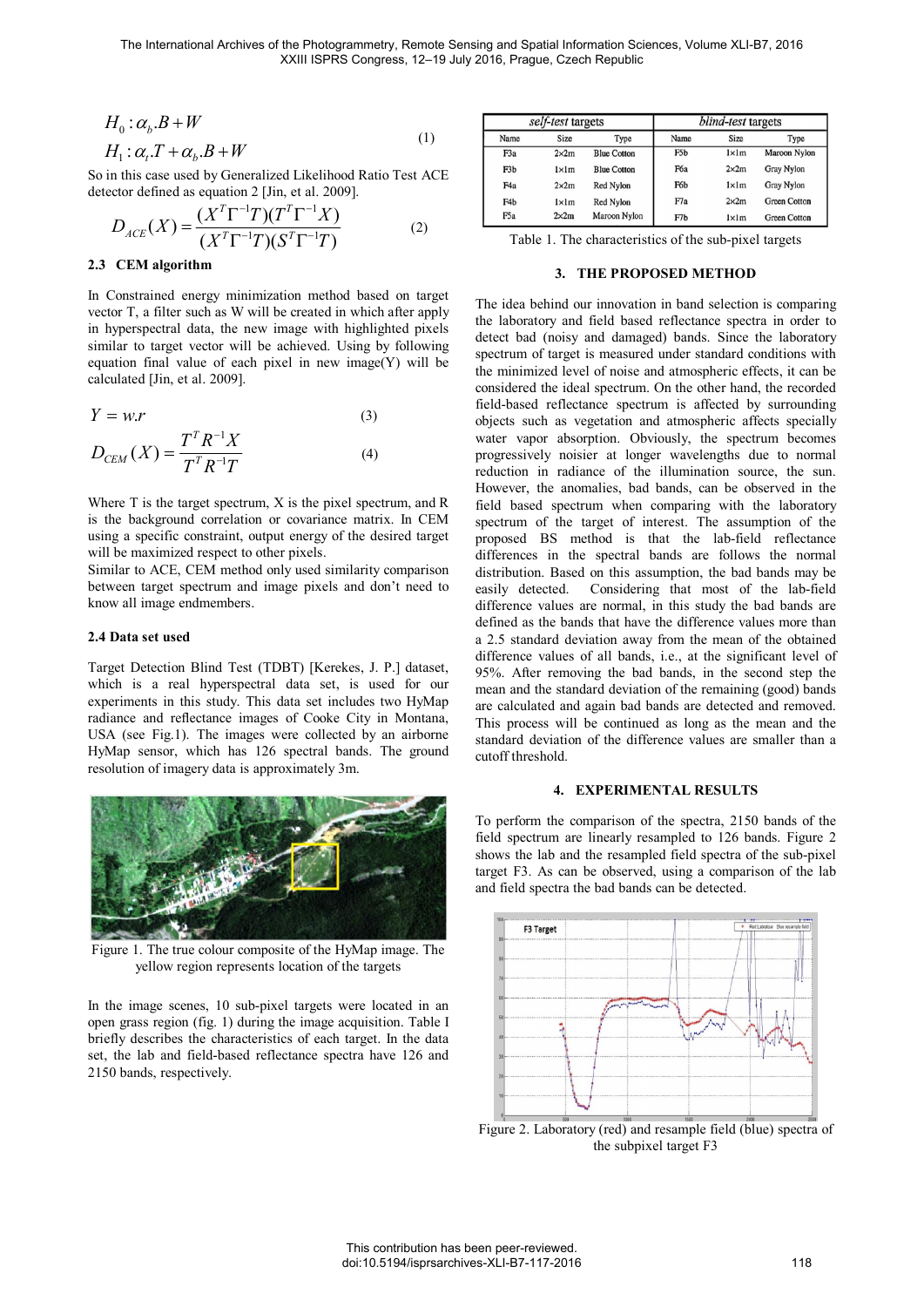$$
H_0: \alpha_b B + W
$$
  
\n
$$
H_1: \alpha_t T + \alpha_b B + W
$$
\n(1)

So in this case used by Generalized Likelihood Ratio Test ACE detector defined as equation 2 [Jin, et al. 2009].

$$
D_{ACE}(X) = \frac{(X^T \Gamma^{-1} T)(T^T \Gamma^{-1} X)}{(X^T \Gamma^{-1} T)(S^T \Gamma^{-1} T)}
$$
(2)

# **2.3 CEM algorithm**

In Constrained energy minimization method based on target vector T, a filter such as W will be created in which after apply in hyperspectral data, the new image with highlighted pixels similar to target vector will be achieved. Using by following equation final value of each pixel in new image $(Y)$  will be calculated [Jin, et al. 2009].

$$
Y = w.r
$$
 (3)

$$
D_{CEM}(X) = \frac{T^T R^{-1} X}{T^T R^{-1} T}
$$
 (4)

Where T is the target spectrum, X is the pixel spectrum, and R is the background correlation or covariance matrix. In CEM using a specific constraint, output energy of the desired target will be maximized respect to other pixels.

Similar to ACE, CEM method only used similarity comparison between target spectrum and image pixels and don't need to know all image endmembers.

### **2.4 Data set used**

Target Detection Blind Test (TDBT) [Kerekes, J. P.] dataset, which is a real hyperspectral data set, is used for our experiments in this study. This data set includes two HyMap radiance and reflectance images of Cooke City in Montana, USA (see Fig.1). The images were collected by an airborne HyMap sensor, which has 126 spectral bands. The ground resolution of imagery data is approximately 3m.



Figure 1. The true colour composite of the HyMap image. The yellow region represents location of the targets

In the image scenes, 10 sub-pixel targets were located in an open grass region (fig. 1) during the image acquisition. Table I briefly describes the characteristics of each target. In the data set, the lab and field-based reflectance spectra have 126 and 2150 bands, respectively.

|                  | self-test targets |                    | blind-test targets |                |                     |  |  |
|------------------|-------------------|--------------------|--------------------|----------------|---------------------|--|--|
| Name             | <b>Size</b>       | Type               | Name               | <b>Size</b>    | Type                |  |  |
| F <sub>3</sub> a | $2\times 2m$      | <b>Blue Cotton</b> | F5b                | lxlm           | Maroon Nylon        |  |  |
| F <sub>3</sub> b | lxlm              | <b>Blue Cotton</b> | F6a                | 2x2m           | Gray Nylon          |  |  |
| F <sub>4a</sub>  | $2\times 2m$      | <b>Red Nylon</b>   | F6b                | $1 \times 1$ m | Gray Nylon          |  |  |
| F <sub>4</sub> b | lxlm              | Red Nylon          | F7a                | $2\times 2m$   | <b>Green Cotton</b> |  |  |
| F <sub>5</sub> a | $2\times 2m$      | Maroon Nylon       | F <sub>7</sub> b   | $1 \times 1$ m | <b>Green Cotton</b> |  |  |

Table 1. The characteristics of the sub-pixel targets

#### **3. THE PROPOSED METHOD**

The idea behind our innovation in band selection is comparing the laboratory and field based reflectance spectra in order to detect bad (noisy and damaged) bands. Since the laboratory spectrum of target is measured under standard conditions with the minimized level of noise and atmospheric effects, it can be considered the ideal spectrum. On the other hand, the recorded field-based reflectance spectrum is affected by surrounding objects such as vegetation and atmospheric affects specially water vapor absorption. Obviously, the spectrum becomes progressively noisier at longer wavelengths due to normal reduction in radiance of the illumination source, the sun. However, the anomalies, bad bands, can be observed in the field based spectrum when comparing with the laboratory spectrum of the target of interest. The assumption of the proposed BS method is that the lab-field reflectance differences in the spectral bands are follows the normal distribution. Based on this assumption, the bad bands may be easily detected. Considering that most of the lab-field difference values are normal, in this study the bad bands are defined as the bands that have the difference values more than a 2.5 standard deviation away from the mean of the obtained difference values of all bands, i.e., at the significant level of 95%. After removing the bad bands, in the second step the mean and the standard deviation of the remaining (good) bands are calculated and again bad bands are detected and removed. This process will be continued as long as the mean and the standard deviation of the difference values are smaller than a cutoff threshold.

### **4. EXPERIMENTAL RESULTS**

To perform the comparison of the spectra, 2150 bands of the field spectrum are linearly resampled to 126 bands. Figure 2 shows the lab and the resampled field spectra of the sub-pixel target F3. As can be observed, using a comparison of the lab and field spectra the bad bands can be detected.



Figure 2. Laboratory (red) and resample field (blue) spectra of the subpixel target F3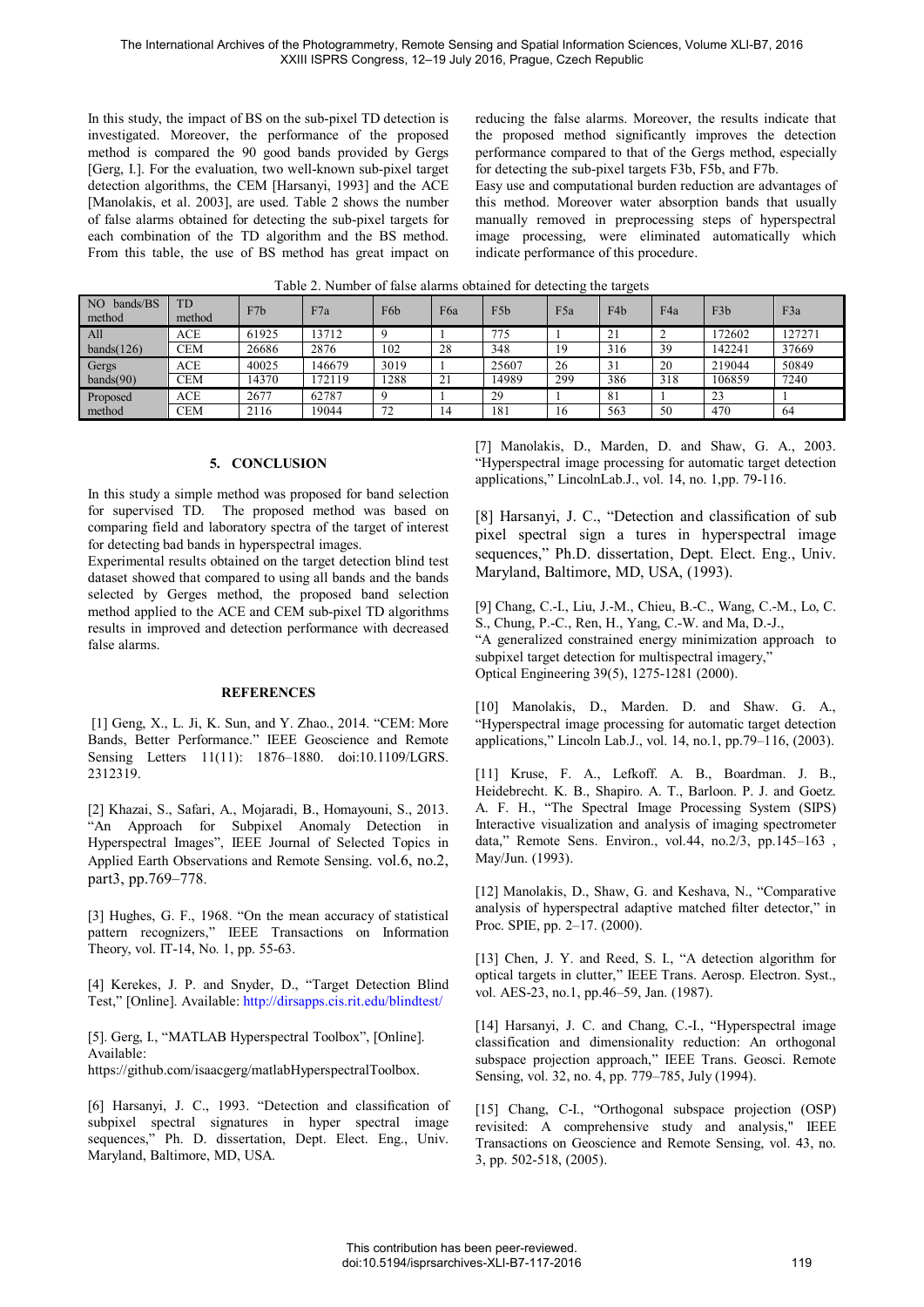In this study, the impact of BS on the sub-pixel TD detection is investigated. Moreover, the performance of the proposed method is compared the 90 good bands provided by Gergs [Gerg, I.]. For the evaluation, two well-known sub-pixel target detection algorithms, the CEM [Harsanyi, 1993] and the ACE [Manolakis, et al. 2003], are used. Table 2 shows the number of false alarms obtained for detecting the sub-pixel targets for each combination of the TD algorithm and the BS method. From this table, the use of BS method has great impact on reducing the false alarms. Moreover, the results indicate that the proposed method significantly improves the detection performance compared to that of the Gergs method, especially for detecting the sub-pixel targets F3b, F5b, and F7b.

Easy use and computational burden reduction are advantages of this method. Moreover water absorption bands that usually manually removed in preprocessing steps of hyperspectral image processing, were eliminated automatically which indicate performance of this procedure.

| $\overline{1}$ NO<br>bands/BS<br>method | TD<br>method | F7b   | F7a    | F6b  | F6a                           | F <sub>5</sub> b | F <sub>5a</sub> | F <sub>4</sub> b | F4a | F <sub>3</sub> b | F3a    |
|-----------------------------------------|--------------|-------|--------|------|-------------------------------|------------------|-----------------|------------------|-----|------------------|--------|
| A11                                     | <b>ACE</b>   | 61925 | 13712  |      |                               | 775              |                 | 21               |     | 172602           | 127271 |
| bands $(126)$                           | <b>CEM</b>   | 26686 | 2876   | 102  | 28                            | 348              | 19              | 316              | 39  | 142241           | 37669  |
| Gergs                                   | <b>ACE</b>   | 40025 | 146679 | 3019 |                               | 25607            | 26              | 31               | 20  | 219044           | 50849  |
| bands(90)                               | <b>CEM</b>   | 14370 | 172119 | 1288 | $\mathcal{L}$ 1<br>$\angle$ 1 | 14989            | 299             | 386              | 318 | 106859           | 7240   |
| Proposed                                | <b>ACE</b>   | 2677  | 62787  |      |                               | 29               |                 | -81              |     | 23               |        |
| method                                  | <b>CEM</b>   | 2116  | 19044  | 72   | 14                            | 181              | 16              | 563              | 50  | 470              | -64    |

Table 2. Number of false alarms obtained for detecting the targets

# **5. CONCLUSION**

In this study a simple method was proposed for band selection for supervised TD. The proposed method was based on comparing field and laboratory spectra of the target of interest for detecting bad bands in hyperspectral images.

Experimental results obtained on the target detection blind test dataset showed that compared to using all bands and the bands selected by Gerges method, the proposed band selection method applied to the ACE and CEM sub-pixel TD algorithms results in improved and detection performance with decreased false alarms.

# **REFERENCES**

 [1] Geng, X., L. Ji, K. Sun, and Y. Zhao., 2014. "CEM: More Bands, Better Performance." IEEE Geoscience and Remote Sensing Letters 11(11): 1876–1880. doi:10.1109/LGRS. 2312319.

[2] Khazai, S., Safari, A., Mojaradi, B., Homayouni, S., 2013. "An Approach for Subpixel Anomaly Detection in Hyperspectral Images", IEEE Journal of Selected Topics in Applied Earth Observations and Remote Sensing. vol.6, no.2, part3, pp.769–778.

[3] Hughes, G. F., 1968. "On the mean accuracy of statistical pattern recognizers," IEEE Transactions on Information Theory, vol. IT-14, No. 1, pp. 55-63.

[4] Kerekes, J. P. and Snyder, D., "Target Detection Blind Test," [Online]. Available: http://dirsapps.cis.rit.edu/blindtest/

[5]. Gerg, I., "MATLAB Hyperspectral Toolbox", [Online]. Available: https://github.com/isaacgerg/matlabHyperspectralToolbox.

[6] Harsanyi, J. C., 1993. "Detection and classification of subpixel spectral signatures in hyper spectral image sequences," Ph. D. dissertation, Dept. Elect. Eng., Univ. Maryland, Baltimore, MD, USA.

[7] Manolakis, D., Marden, D. and Shaw, G. A., 2003. "Hyperspectral image processing for automatic target detection applications," LincolnLab.J., vol. 14, no. 1,pp. 79-116.

[8] Harsanyi, J. C., "Detection and classification of sub pixel spectral sign a tures in hyperspectral image sequences," Ph.D. dissertation, Dept. Elect. Eng., Univ. Maryland, Baltimore, MD, USA, (1993).

[9] Chang, C.-I., Liu, J.-M., Chieu, B.-C., Wang, C.-M., Lo, C. S., Chung, P.-C., Ren, H., Yang, C.-W. and Ma, D.-J., "A generalized constrained energy minimization approach to subpixel target detection for multispectral imagery," Optical Engineering 39(5), 1275-1281 (2000).

[10] Manolakis, D., Marden. D. and Shaw. G. A., "Hyperspectral image processing for automatic target detection applications," Lincoln Lab.J., vol. 14, no.1, pp.79–116, (2003).

[11] Kruse, F. A., Lefkoff. A. B., Boardman. J. B., Heidebrecht. K. B., Shapiro. A. T., Barloon. P. J. and Goetz. A. F. H., "The Spectral Image Processing System (SIPS) Interactive visualization and analysis of imaging spectrometer data," Remote Sens. Environ., vol.44, no.2/3, pp.145–163 , May/Jun. (1993).

[12] Manolakis, D., Shaw, G. and Keshava, N., "Comparative analysis of hyperspectral adaptive matched filter detector," in Proc. SPIE, pp. 2–17. (2000).

[13] Chen, J. Y. and Reed, S. I., "A detection algorithm for optical targets in clutter," IEEE Trans. Aerosp. Electron. Syst., vol. AES-23, no.1, pp.46–59, Jan. (1987).

[14] Harsanyi, J. C. and Chang, C.-I., "Hyperspectral image classification and dimensionality reduction: An orthogonal subspace projection approach," IEEE Trans. Geosci. Remote Sensing, vol. 32, no. 4, pp. 779–785, July (1994).

[15] Chang, C-I., "Orthogonal subspace projection (OSP) revisited: A comprehensive study and analysis," IEEE Transactions on Geoscience and Remote Sensing, vol. 43, no. 3, pp. 502-518, (2005).